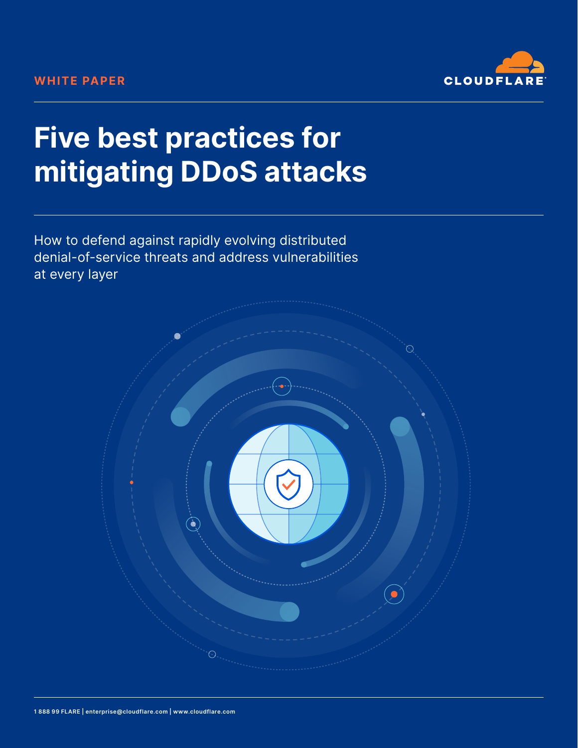

# **Five best practices for mitigating DDoS attacks**

How to defend against rapidly evolving distributed denial-of-service threats and address vulnerabilities at every layer

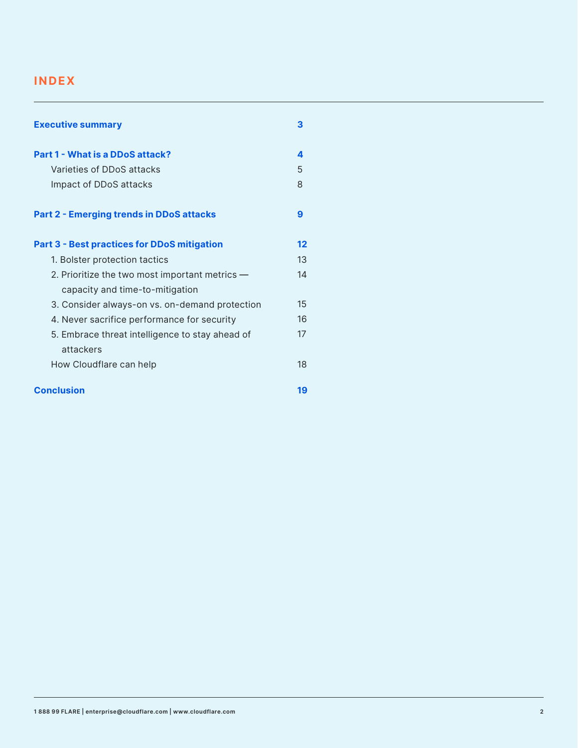### **INDEX**

| <b>Executive summary</b>                           | З  |
|----------------------------------------------------|----|
| Part 1 - What is a DDoS attack?                    | 4  |
| Varieties of DDoS attacks                          | 5  |
| Impact of DDoS attacks                             | 8  |
| <b>Part 2 - Emerging trends in DDoS attacks</b>    | 9  |
| <b>Part 3 - Best practices for DDoS mitigation</b> | 12 |
| 1. Bolster protection tactics                      | 13 |
| 2. Prioritize the two most important metrics $-$   | 14 |
| capacity and time-to-mitigation                    |    |
| 3. Consider always-on vs. on-demand protection     | 15 |
| 4. Never sacrifice performance for security        | 16 |
| 5. Embrace threat intelligence to stay ahead of    | 17 |
| attackers                                          |    |
| How Cloudflare can help                            | 18 |
| <b>Conclusion</b>                                  | 19 |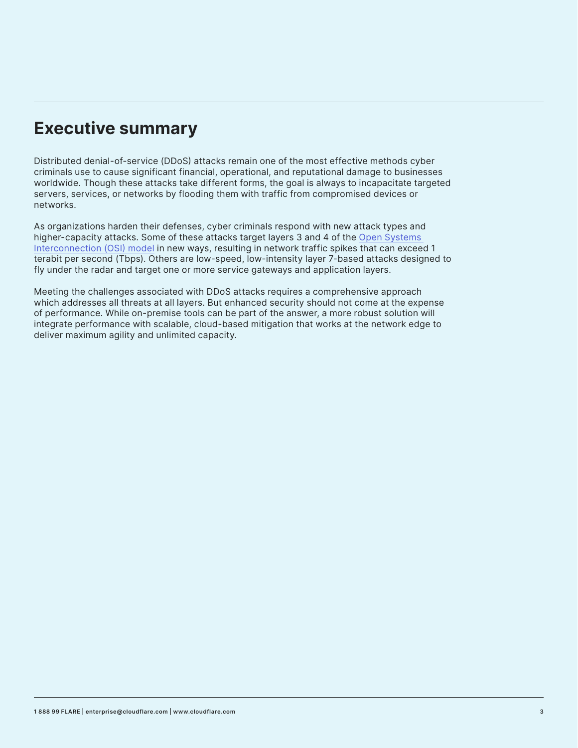# **Executive summary**

Distributed denial-of-service (DDoS) attacks remain one of the most effective methods cyber criminals use to cause significant financial, operational, and reputational damage to businesses worldwide. Though these attacks take different forms, the goal is always to incapacitate targeted servers, services, or networks by flooding them with traffic from compromised devices or networks.

As organizations harden their defenses, cyber criminals respond with new attack types and higher-capacity attacks. Some of these attacks target layers 3 and 4 of the Open Systems Interconnection (OSI) model in new ways, resulting in network traffic spikes that can exceed 1 terabit per second (Tbps). Others are low-speed, low-intensity layer 7-based attacks designed to fly under the radar and target one or more service gateways and application layers.

Meeting the challenges associated with DDoS attacks requires a comprehensive approach which addresses all threats at all layers. But enhanced security should not come at the expense of performance. While on-premise tools can be part of the answer, a more robust solution will integrate performance with scalable, cloud-based mitigation that works at the network edge to deliver maximum agility and unlimited capacity.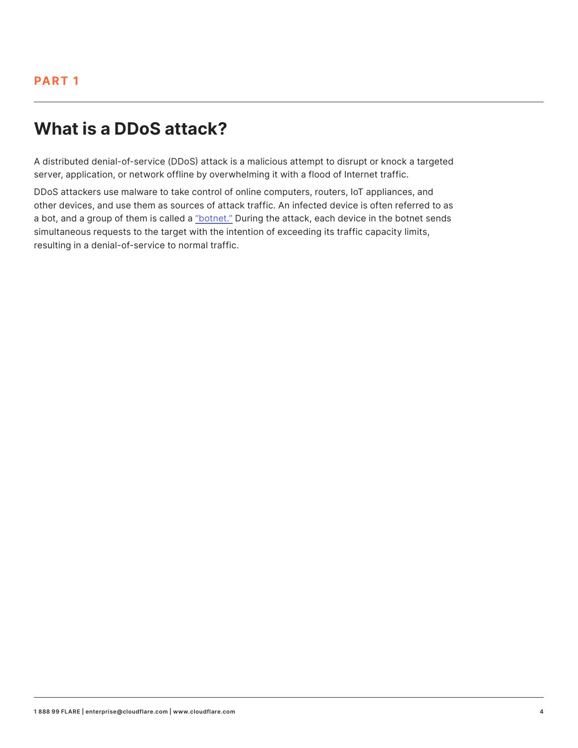# **What is a DDoS attack?**

A distributed denial-of-service (DDoS) attack is a malicious attempt to disrupt or knock a targeted server, application, or network offline by overwhelming it with a flood of Internet traffic.

DDoS attackers use malware to take control of online computers, routers, IoT appliances, and other devices, and use them as sources of attack traffic. An infected device is often referred to as a bot, and a group of them is called a "botnet." During the attack, each device in the botnet sends simultaneous requests to the target with the intention of exceeding its traffic capacity limits, resulting in a denial-of-service to normal traffic.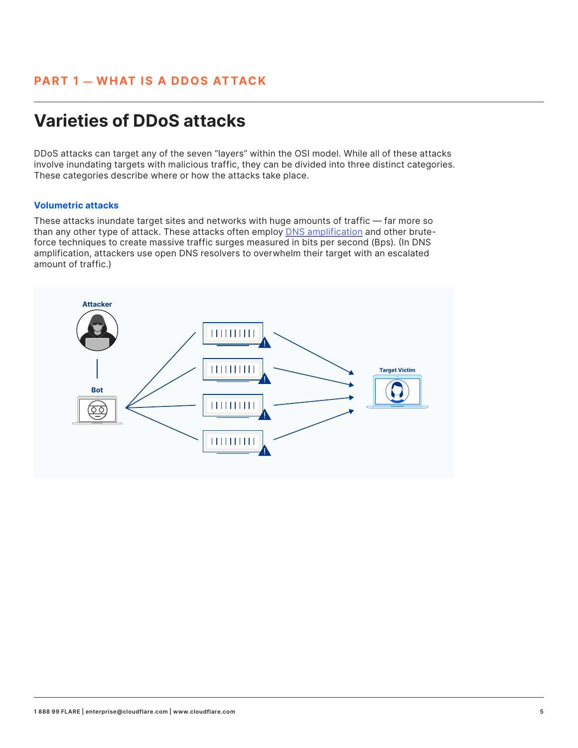# **Varieties of DDoS attacks**

DDoS attacks can target any of the seven "layers" within the OSI model. While all of these attacks involve inundating targets with malicious traffic, they can be divided into three distinct categories. These categories describe where or how the attacks take place.

#### **Volumetric attacks**

These attacks inundate target sites and networks with huge amounts of traffic — far more so than any other type of attack. These attacks often employ DNS amplification and other bruteforce techniques to create massive traffic surges measured in bits per second (Bps). (In DNS amplification, attackers use open DNS resolvers to overwhelm their target with an escalated amount of traffic.)

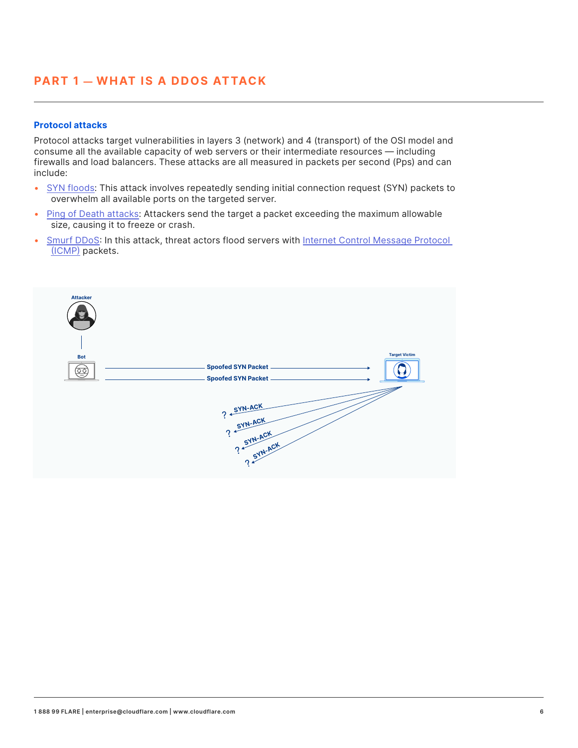### **PART 1 — WHAT IS A DDOS ATTACK**

#### **Protocol attacks**

Protocol attacks target vulnerabilities in layers 3 (network) and 4 (transport) of the OSI model and consume all the available capacity of web servers or their intermediate resources — including firewalls and load balancers. These attacks are all measured in packets per second (Pps) and can include:

- SYN floods: This attack involves repeatedly sending initial connection request (SYN) packets to overwhelm all available ports on the targeted server.
- Ping of Death attacks: Attackers send the target a packet exceeding the maximum allowable size, causing it to freeze or crash.
- Smurf DDoS: In this attack, threat actors flood servers with Internet Control Message Protocol (ICMP) packets.

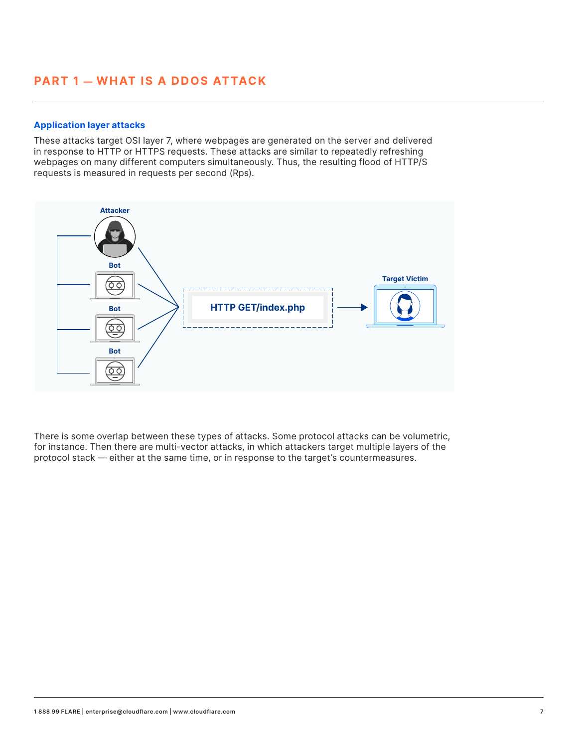#### **Application layer attacks**

These attacks target OSI layer 7, where webpages are generated on the server and delivered in response to HTTP or HTTPS requests. These attacks are similar to repeatedly refreshing webpages on many different computers simultaneously. Thus, the resulting flood of HTTP/S requests is measured in requests per second (Rps).



There is some overlap between these types of attacks. Some protocol attacks can be volumetric, for instance. Then there are multi-vector attacks, in which attackers target multiple layers of the protocol stack — either at the same time, or in response to the target's countermeasures.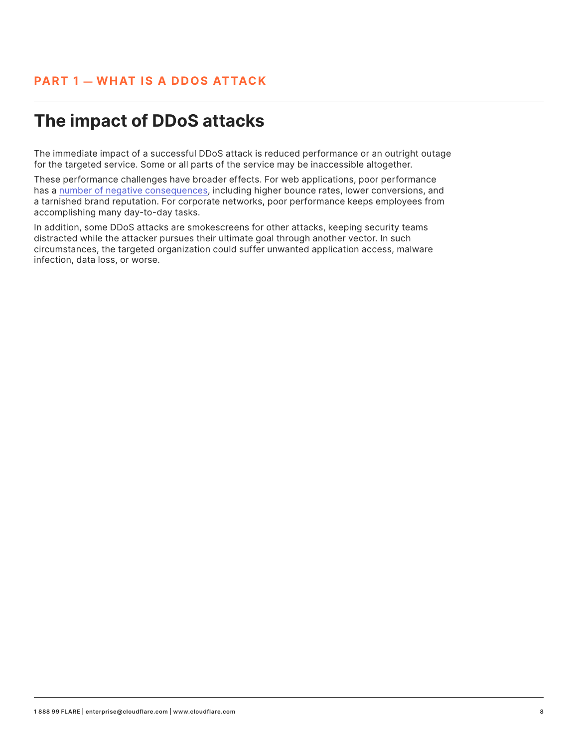# **The impact of DDoS attacks**

The immediate impact of a successful DDoS attack is reduced performance or an outright outage for the targeted service. Some or all parts of the service may be inaccessible altogether.

These performance challenges have broader effects. For web applications, poor performance has a number of negative consequences, including higher bounce rates, lower conversions, and a tarnished brand reputation. For corporate networks, poor performance keeps employees from accomplishing many day-to-day tasks.

In addition, some DDoS attacks are smokescreens for other attacks, keeping security teams distracted while the attacker pursues their ultimate goal through another vector. In such circumstances, the targeted organization could suffer unwanted application access, malware infection, data loss, or worse.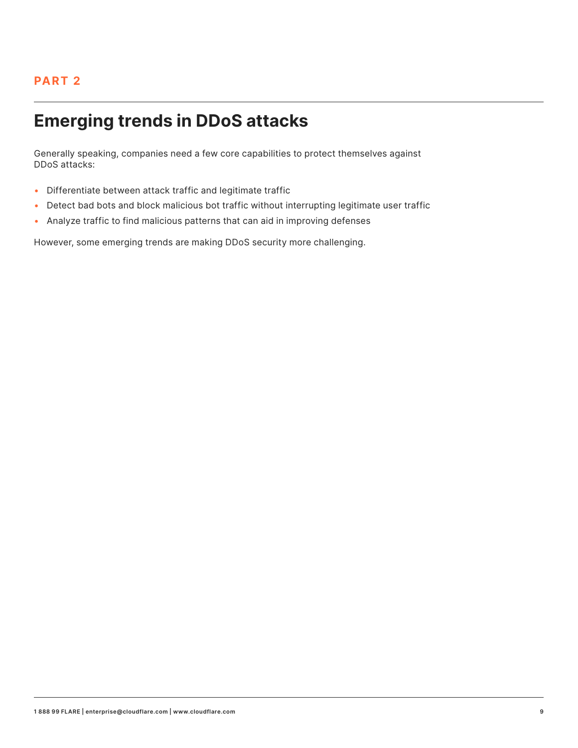### **PART 2**

# **Emerging trends in DDoS attacks**

Generally speaking, companies need a few core capabilities to protect themselves against DDoS attacks:

- Differentiate between attack traffic and legitimate traffic
- Detect bad bots and block malicious bot traffic without interrupting legitimate user traffic
- Analyze traffic to find malicious patterns that can aid in improving defenses

However, some emerging trends are making DDoS security more challenging.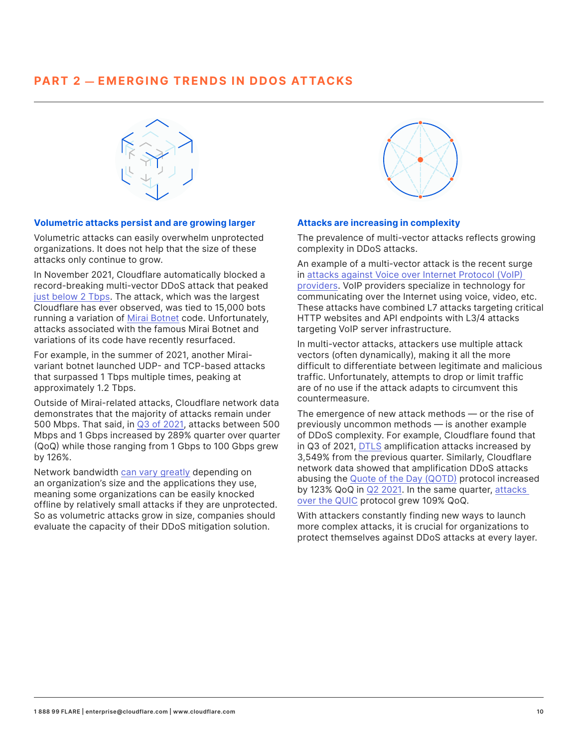### **PART 2 — EMERGING TRENDS IN DDOS ATTACKS**



#### **Volumetric attacks persist and are growing larger**

Volumetric attacks can easily overwhelm unprotected organizations. It does not help that the size of these attacks only continue to grow.

In November 2021, Cloudflare automatically blocked a record-breaking multi-vector DDoS attack that peaked just below 2 Tbps. The attack, which was the largest Cloudflare has ever observed, was tied to 15,000 bots running a variation of Mirai Botnet code. Unfortunately, attacks associated with the famous Mirai Botnet and variations of its code have recently resurfaced.

For example, in the summer of 2021, another Miraivariant botnet launched UDP- and TCP-based attacks that surpassed 1 Tbps multiple times, peaking at approximately 1.2 Tbps.

Outside of Mirai-related attacks, Cloudflare network data demonstrates that the majority of attacks remain under 500 Mbps. That said, in Q3 of 2021, attacks between 500 Mbps and 1 Gbps increased by 289% quarter over quarter (QoQ) while those ranging from 1 Gbps to 100 Gbps grew by 126%.

Network bandwidth can vary greatly depending on an organization's size and the applications they use, meaning some organizations can be easily knocked offline by relatively small attacks if they are unprotected. So as volumetric attacks grow in size, companies should evaluate the capacity of their DDoS mitigation solution.



#### **Attacks are increasing in complexity**

The prevalence of multi-vector attacks reflects growing complexity in DDoS attacks.

An example of a multi-vector attack is the recent surge in attacks against Voice over Internet Protocol (VoIP) providers. VoIP providers specialize in technology for communicating over the Internet using voice, video, etc. These attacks have combined L7 attacks targeting critical HTTP websites and API endpoints with L3/4 attacks targeting VoIP server infrastructure.

In multi-vector attacks, attackers use multiple attack vectors (often dynamically), making it all the more difficult to differentiate between legitimate and malicious traffic. Unfortunately, attempts to drop or limit traffic are of no use if the attack adapts to circumvent this countermeasure.

The emergence of new attack methods — or the rise of previously uncommon methods — is another example of DDoS complexity. For example, Cloudflare found that in Q3 of 2021, DTLS amplification attacks increased by 3,549% from the previous quarter. Similarly, Cloudflare network data showed that amplification DDoS attacks abusing the Quote of the Day (QOTD) protocol increased by 123% QoQ in Q2 2021. In the same quarter, attacks over the QUIC protocol grew 109% QoQ.

With attackers constantly finding new ways to launch more complex attacks, it is crucial for organizations to protect themselves against DDoS attacks at every layer.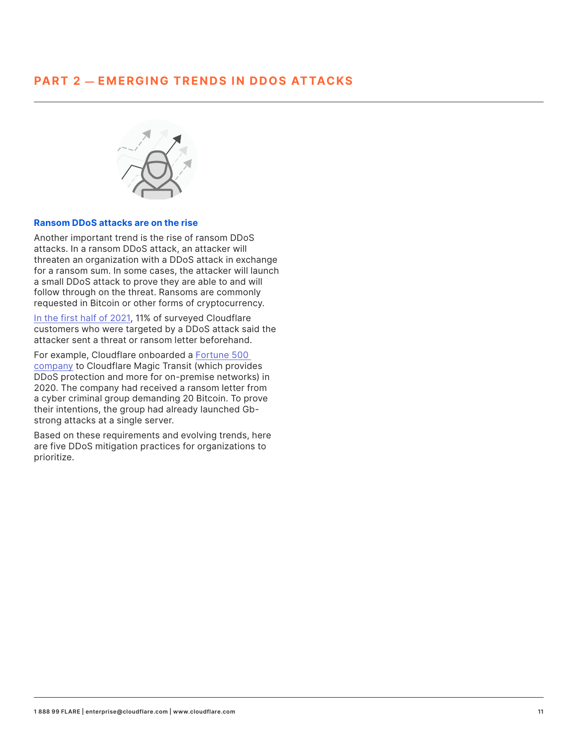### **PART 2 — EMERGING TRENDS IN DDOS ATTACKS**



#### **Ransom DDoS attacks are on the rise**

Another important trend is the rise of ransom DDoS attacks. In a ransom DDoS attack, an attacker will threaten an organization with a DDoS attack in exchange for a ransom sum. In some cases, the attacker will launch a small DDoS attack to prove they are able to and will follow through on the threat. Ransoms are commonly requested in Bitcoin or other forms of cryptocurrency.

In the first half of 2021, 11% of surveyed Cloudflare customers who were targeted by a DDoS attack said the attacker sent a threat or ransom letter beforehand.

For example, Cloudflare onboarded a Fortune 500 company to Cloudflare Magic Transit (which provides DDoS protection and more for on-premise networks) in 2020. The company had received a ransom letter from a cyber criminal group demanding 20 Bitcoin. To prove their intentions, the group had already launched Gbstrong attacks at a single server.

Based on these requirements and evolving trends, here are five DDoS mitigation practices for organizations to prioritize.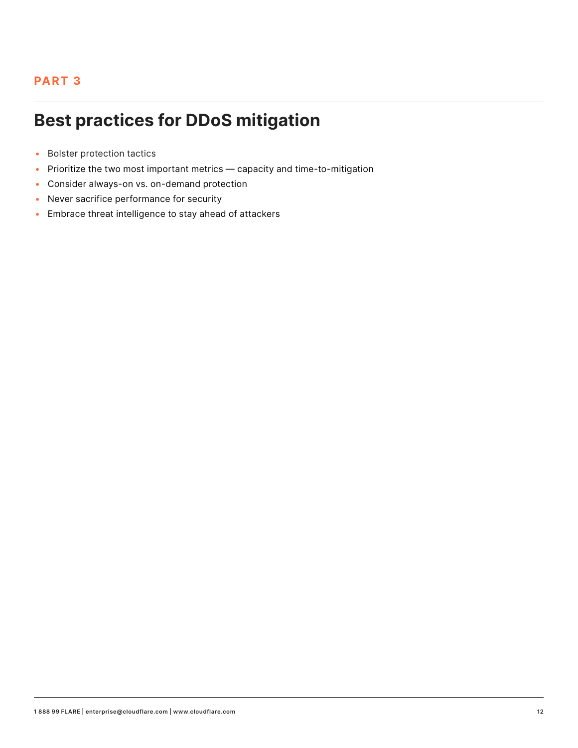### **PART 3**

# **Best practices for DDoS mitigation**

- Bolster protection tactics
- Prioritize the two most important metrics capacity and time-to-mitigation
- Consider always-on vs. on-demand protection
- Never sacrifice performance for security
- Embrace threat intelligence to stay ahead of attackers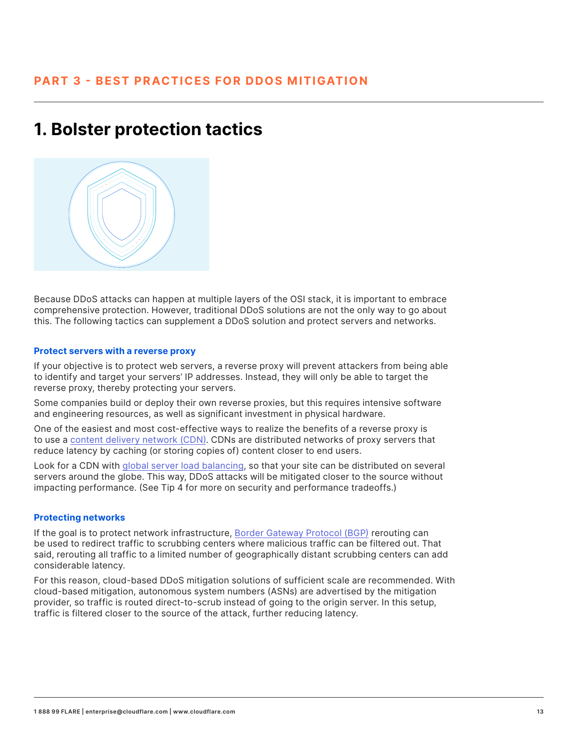### **1. Bolster protection tactics**



Because DDoS attacks can happen at multiple layers of the OSI stack, it is important to embrace comprehensive protection. However, traditional DDoS solutions are not the only way to go about this. The following tactics can supplement a DDoS solution and protect servers and networks.

#### **Protect servers with a reverse proxy**

If your objective is to protect web servers, a reverse proxy will prevent attackers from being able to identify and target your servers' IP addresses. Instead, they will only be able to target the reverse proxy, thereby protecting your servers.

Some companies build or deploy their own reverse proxies, but this requires intensive software and engineering resources, as well as significant investment in physical hardware.

One of the easiest and most cost-effective ways to realize the benefits of a reverse proxy is to use a content delivery network (CDN). CDNs are distributed networks of proxy servers that reduce latency by caching (or storing copies of) content closer to end users.

Look for a CDN with global server load balancing, so that your site can be distributed on several servers around the globe. This way, DDoS attacks will be mitigated closer to the source without impacting performance. (See Tip 4 for more on security and performance tradeoffs.)

#### **Protecting networks**

If the goal is to protect network infrastructure, Border Gateway Protocol (BGP) rerouting can be used to redirect traffic to scrubbing centers where malicious traffic can be filtered out. That said, rerouting all traffic to a limited number of geographically distant scrubbing centers can add considerable latency.

For this reason, cloud-based DDoS mitigation solutions of sufficient scale are recommended. With cloud-based mitigation, autonomous system numbers (ASNs) are advertised by the mitigation provider, so traffic is routed direct-to-scrub instead of going to the origin server. In this setup, traffic is filtered closer to the source of the attack, further reducing latency.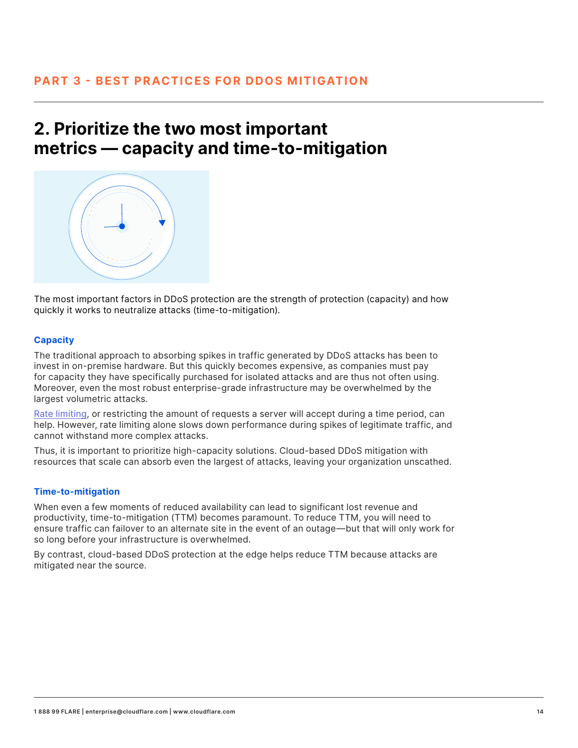### **2. Prioritize the two most important metrics — capacity and time-to-mitigation**



The most important factors in DDoS protection are the strength of protection (capacity) and how quickly it works to neutralize attacks (time-to-mitigation).

#### **Capacity**

The traditional approach to absorbing spikes in traffic generated by DDoS attacks has been to invest in on-premise hardware. But this quickly becomes expensive, as companies must pay for capacity they have specifically purchased for isolated attacks and are thus not often using. Moreover, even the most robust enterprise-grade infrastructure may be overwhelmed by the largest volumetric attacks.

Rate limiting, or restricting the amount of requests a server will accept during a time period, can help. However, rate limiting alone slows down performance during spikes of legitimate traffic, and cannot withstand more complex attacks.

Thus, it is important to prioritize high-capacity solutions. Cloud-based DDoS mitigation with resources that scale can absorb even the largest of attacks, leaving your organization unscathed.

#### **Time-to-mitigation**

When even a few moments of reduced availability can lead to significant lost revenue and productivity, time-to-mitigation (TTM) becomes paramount. To reduce TTM, you will need to ensure traffic can failover to an alternate site in the event of an outage—but that will only work for so long before your infrastructure is overwhelmed.

By contrast, cloud-based DDoS protection at the edge helps reduce TTM because attacks are mitigated near the source.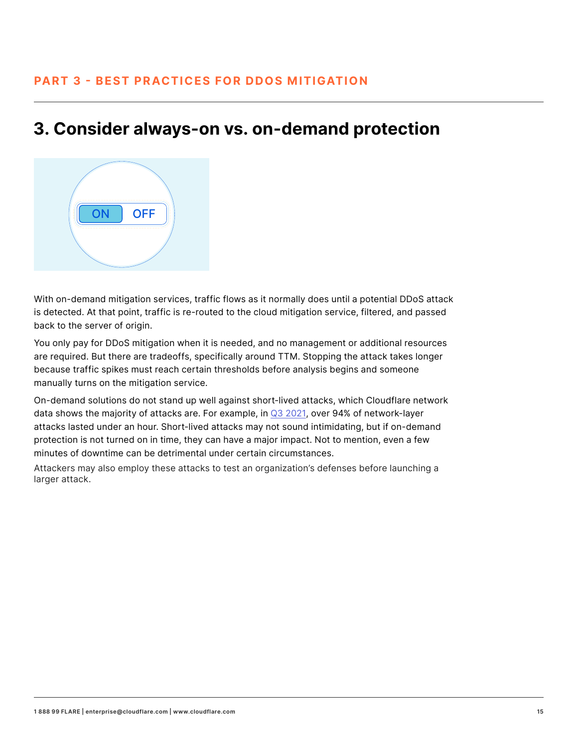### **3. Consider always-on vs. on-demand protection**



With on-demand mitigation services, traffic flows as it normally does until a potential DDoS attack is detected. At that point, traffic is re-routed to the cloud mitigation service, filtered, and passed back to the server of origin.

You only pay for DDoS mitigation when it is needed, and no management or additional resources are required. But there are tradeoffs, specifically around TTM. Stopping the attack takes longer because traffic spikes must reach certain thresholds before analysis begins and someone manually turns on the mitigation service.

On-demand solutions do not stand up well against short-lived attacks, which Cloudflare network data shows the majority of attacks are. For example, in Q3 2021, over 94% of network-layer attacks lasted under an hour. Short-lived attacks may not sound intimidating, but if on-demand protection is not turned on in time, they can have a major impact. Not to mention, even a few minutes of downtime can be detrimental under certain circumstances.

Attackers may also employ these attacks to test an organization's defenses before launching a larger attack.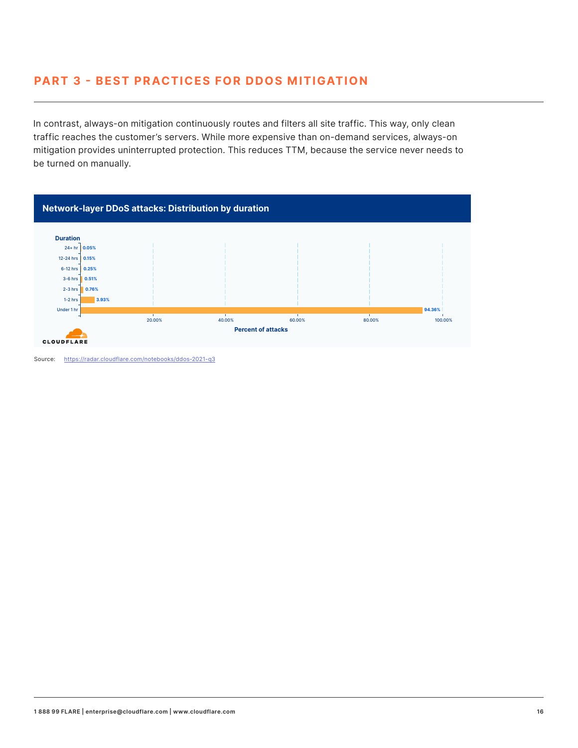### **PART 3 - BEST PRACTICES FOR DDOS MITIGATION**

In contrast, always-on mitigation continuously routes and filters all site traffic. This way, only clean traffic reaches the customer's servers. While more expensive than on-demand services, always-on mitigation provides uninterrupted protection. This reduces TTM, because the service never needs to be turned on manually.



Source: https://radar.cloudflare.com/notebooks/ddos-2021-q3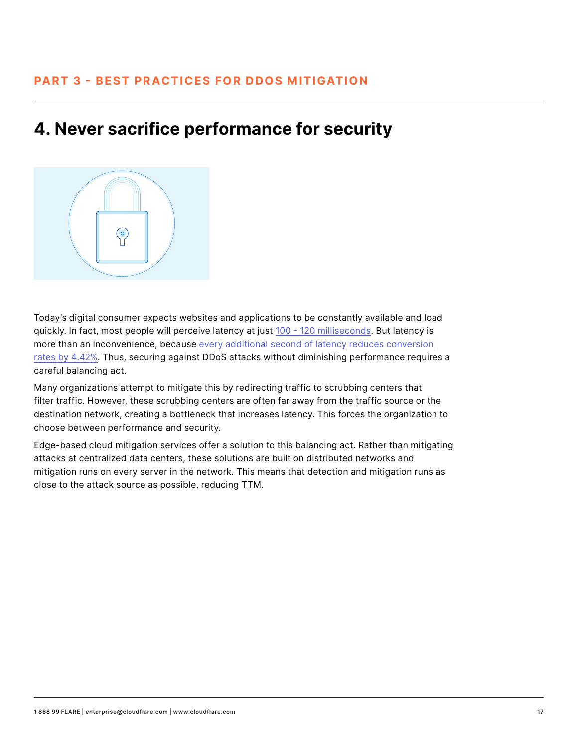## **4. Never sacrifice performance for security**



Today's digital consumer expects websites and applications to be constantly available and load quickly. In fact, most people will perceive latency at just 100 - 120 milliseconds. But latency is more than an inconvenience, because every additional second of latency reduces conversion rates by 4.42%. Thus, securing against DDoS attacks without diminishing performance requires a careful balancing act.

Many organizations attempt to mitigate this by redirecting traffic to scrubbing centers that filter traffic. However, these scrubbing centers are often far away from the traffic source or the destination network, creating a bottleneck that increases latency. This forces the organization to choose between performance and security.

Edge-based cloud mitigation services offer a solution to this balancing act. Rather than mitigating attacks at centralized data centers, these solutions are built on distributed networks and mitigation runs on every server in the network. This means that detection and mitigation runs as close to the attack source as possible, reducing TTM.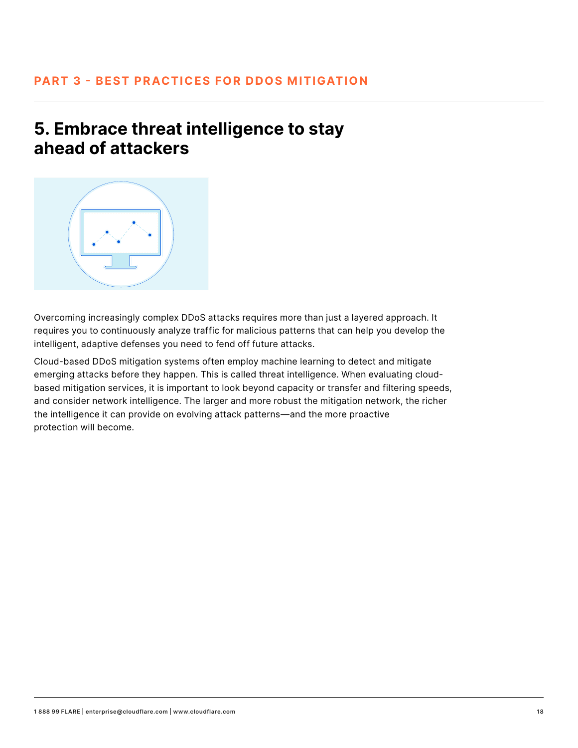### **5. Embrace threat intelligence to stay ahead of attackers**



Overcoming increasingly complex DDoS attacks requires more than just a layered approach. It requires you to continuously analyze traffic for malicious patterns that can help you develop the intelligent, adaptive defenses you need to fend off future attacks.

Cloud-based DDoS mitigation systems often employ machine learning to detect and mitigate emerging attacks before they happen. This is called threat intelligence. When evaluating cloudbased mitigation services, it is important to look beyond capacity or transfer and filtering speeds, and consider network intelligence. The larger and more robust the mitigation network, the richer the intelligence it can provide on evolving attack patterns—and the more proactive protection will become.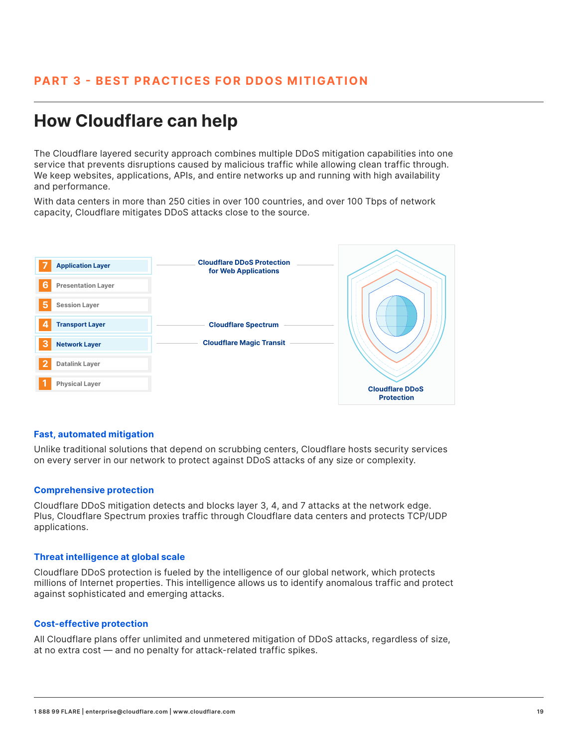## **How Cloudflare can help**

The Cloudflare layered security approach combines multiple DDoS mitigation capabilities into one service that prevents disruptions caused by malicious traffic while allowing clean traffic through. We keep websites, applications, APIs, and entire networks up and running with high availability and performance.

With data centers in more than 250 cities in over 100 countries, and over 100 Tbps of network capacity, Cloudflare mitigates DDoS attacks close to the source.



#### **Fast, automated mitigation**

Unlike traditional solutions that depend on scrubbing centers, Cloudflare hosts security services on every server in our network to protect against DDoS attacks of any size or complexity.

#### **Comprehensive protection**

Cloudflare DDoS mitigation detects and blocks layer 3, 4, and 7 attacks at the network edge. Plus, Cloudflare Spectrum proxies traffic through Cloudflare data centers and protects TCP/UDP applications.

#### **Threat intelligence at global scale**

Cloudflare DDoS protection is fueled by the intelligence of our global network, which protects millions of Internet properties. This intelligence allows us to identify anomalous traffic and protect against sophisticated and emerging attacks.

#### **Cost-effective protection**

All Cloudflare plans offer unlimited and unmetered mitigation of DDoS attacks, regardless of size, at no extra cost — and no penalty for attack-related traffic spikes.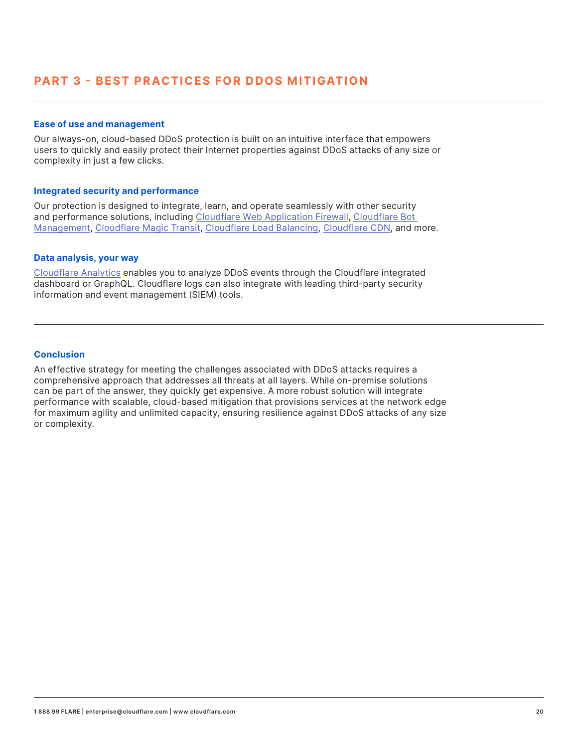#### **Ease of use and management**

Our always-on, cloud-based DDoS protection is built on an intuitive interface that empowers users to quickly and easily protect their Internet properties against DDoS attacks of any size or complexity in just a few clicks.

#### **Integrated security and performance**

Our protection is designed to integrate, learn, and operate seamlessly with other security and performance solutions, including Cloudflare Web Application Firewall, Cloudflare Bot Management, Cloudflare Magic Transit, Cloudflare Load Balancing, Cloudflare CDN, and more.

#### **Data analysis, your way**

Cloudflare Analytics enables you to analyze DDoS events through the Cloudflare integrated dashboard or GraphQL. Cloudflare logs can also integrate with leading third-party security information and event management (SIEM) tools.

#### **Conclusion**

An effective strategy for meeting the challenges associated with DDoS attacks requires a comprehensive approach that addresses all threats at all layers. While on-premise solutions can be part of the answer, they quickly get expensive. A more robust solution will integrate performance with scalable, cloud-based mitigation that provisions services at the network edge for maximum agility and unlimited capacity, ensuring resilience against DDoS attacks of any size or complexity.